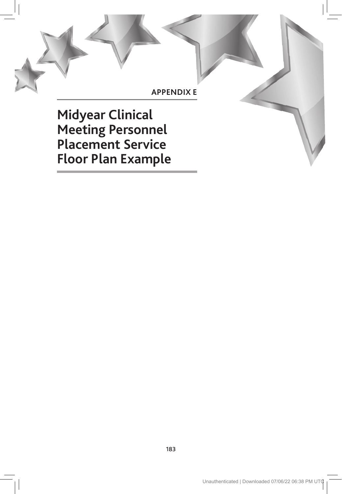## **APPENDIX E**

**Midyear Clinical Meeting Personnel Placement Service Floor Plan Example**